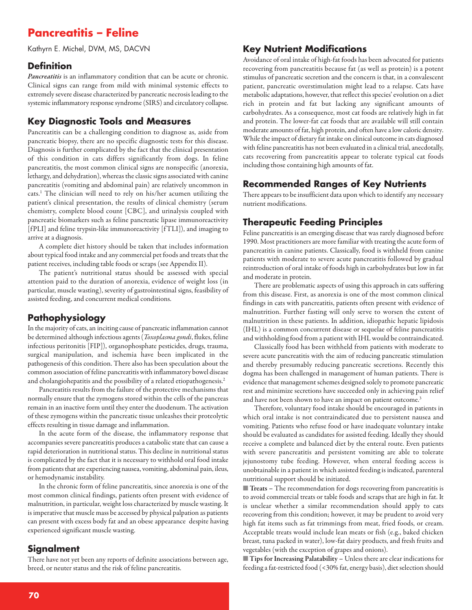# **Pancreatitis – Feline**

Kathyrn E. Michel, DVM, MS, DACVN

### **Definition**

*Pancreatitis* is an inflammatory condition that can be acute or chronic. Clinical signs can range from mild with minimal systemic effects to extremely severe disease characterized by pancreatic necrosis leading to the systemic inflammatory response syndrome (SIRS) and circulatory collapse.

# **Key Diagnostic Tools and Measures**

Pancreatitis can be a challenging condition to diagnose as, aside from pancreatic biopsy, there are no specific diagnostic tests for this disease. Diagnosis is further complicated by the fact that the clinical presentation of this condition in cats differs significantly from dogs. In feline pancreatitis, the most common clinical signs are nonspecific (anorexia, lethargy, and dehydration), whereas the classic signs associated with canine pancreatitis (vomiting and abdominal pain) are relatively uncommon in cats. <sup>1</sup> The clinician will need to rely on his/her acumen utilizing the patient's clinical presentation, the results of clinical chemistry (serum chemistry, complete blood count [CBC], and urinalysis coupled with pancreatic biomarkers such as feline pancreatic lipase immunoreactivity [fPLI] and feline trypsin-like immunoreactivity [fTLI]), and imaging to arrive at a diagnosis.

A complete diet history should be taken that includes information about typical food intake and any commercial pet foods and treats that the patient receives, including table foods or scraps (see Appendix II).

The patient's nutritional status should be assessed with special attention paid to the duration of anorexia, evidence of weight loss (in particular, muscle wasting), severity of gastrointestinal signs, feasibility of assisted feeding, and concurrent medical conditions.

### **Pathophysiology**

In the majority of cats, an inciting cause of pancreatic inflammation cannot be determined although infectiousagents(*Toxoplasma gondi*, flukes, feline infectious peritonitis [FIP]), organophosphate pesticides, drugs, trauma, surgical manipulation, and ischemia have been implicated in the pathogenesis of this condition. There also has been speculation about the common association of feline pancreatitiswith inflammatory bowel disease and cholangiohepatitis and the possibility of a related etiopathogenesis. $^2$ 

Pancreatitis results from the failure of the protective mechanisms that normally ensure that the zymogens stored within the cells of the pancreas remain in an inactive form until they enter the duodenum. The activation of these zymogens within the pancreatic tissue unleashes their proteolytic effects resulting in tissue damage and inflammation.

In the acute form of the disease, the inflammatory response that accompanies severe pancreatitis produces a catabolic state that can cause a rapid deterioration in nutritional status. This decline in nutritional status is complicated by the fact that it is necessary to withhold oral food intake from patients that are experiencing nausea, vomiting, abdominal pain, ileus, or hemodynamic instability.

In the chronic form of feline pancreatitis, since anorexia is one of the most common clinical findings, patients often present with evidence of malnutrition, in particular, weight loss characterized by muscle wasting. It is imperative that muscle mass be accessed by physical palpation as patients can present with excess body fat and an obese appearance despite having experienced significant muscle wasting.

### **Signalment**

There have not yet been any reports of definite associations between age, breed, or neuter status and the risk of feline pancreatitis.

### **Key Nutrient Modifications**

Avoidance of oral intake of high-fat foods has been advocated for patients recovering from pancreatitis because fat (as well as protein) is a potent stimulus of pancreatic secretion and the concern is that, in a convalescent patient, pancreatic overstimulation might lead to a relapse. Cats have metabolic adaptations, however, that reflect this species' evolution on a diet rich in protein and fat but lacking any significant amounts of carbohydrates. As a consequence, most cat foods are relatively high in fat and protein. The lower-fat cat foods that are available will still contain moderate amounts of fat, high protein, and often have a low caloric density. While the impact of dietary fat intake on clinical outcome in cats diagnosed with feline pancreatitis has not been evaluated in a clinical trial, anecdotally, cats recovering from pancreatitis appear to tolerate typical cat foods including those containing high amounts of fat.

## **Recommended Ranges of Key Nutrients**

There appears to be insufficient data upon which to identify any necessary nutrient modifications.

# **Therapeutic Feeding Principles**

Feline pancreatitis is an emerging disease that was rarely diagnosed before 1990. Most practitioners are more familiar with treating the acute form of pancreatitis in canine patients. Classically, food is withheld from canine patients with moderate to severe acute pancreatitis followed by gradual reintroduction of oral intake of foods high in carbohydrates but low in fat and moderate in protein.

There are problematic aspects of using this approach in cats suffering from this disease. First, as anorexia is one of the most common clinical findings in cats with pancreatitis, patients often present with evidence of malnutrition. Further fasting will only serve to worsen the extent of malnutrition in these patients. In addition, idiopathic hepatic lipidosis (IHL) is a common concurrent disease or sequelae of feline pancreatitis and withholding food from a patient with IHL would be contraindicated.

Classically food has been withheld from patients with moderate to severe acute pancreatitis with the aim of reducing pancreatic stimulation and thereby presumably reducing pancreatic secretions. Recently this dogma has been challenged in management of human patients. There is evidence that management schemes designed solely to promote pancreatic rest and minimize secretions have succeeded only in achieving pain relief and have not been shown to have an impact on patient outcome.<sup>3</sup>

Therefore, voluntary food intake should be encouraged in patients in which oral intake is not contraindicated due to persistent nausea and vomiting. Patients who refuse food or have inadequate voluntary intake should be evaluated as candidates for assisted feeding. Ideally they should receive a complete and balanced diet by the enteral route. Even patients with severe pancreatitis and persistent vomiting are able to tolerate jejunostomy tube feeding. However, when enteral feeding access is unobtainable in a patient in which assisted feeding is indicated, parenteral nutritional support should be initiated.

■ **Treats –** The recommendation for dogs recovering from pancreatitis is to avoid commercial treats or table foods and scraps that are high in fat. It is unclear whether a similar recommendation should apply to cats recovering from this condition; however, it may be prudent to avoid very high fat items such as fat trimmings from meat, fried foods, or cream. Acceptable treats would include lean meats or fish (e.g., baked chicken breast, tuna packed in water), low-fat dairy products, and fresh fruits and vegetables (with the exception of grapes and onions).

**Tips** for Increasing Palatability - Unless there are clear indications for feeding a fat-restricted food (<30% fat, energy basis), diet selection should